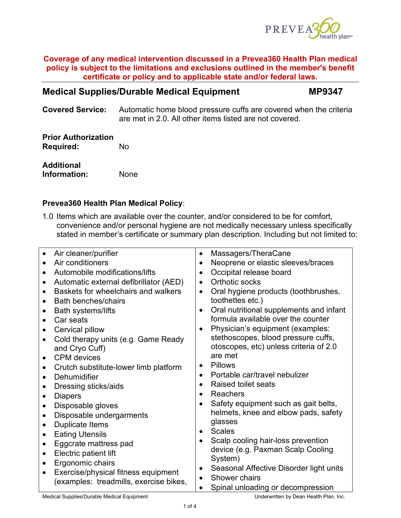

# **Medical Supplies/Durable Medical Equipment MP9347**

**Covered Service:** Automatic home blood pressure cuffs are covered when the criteria are met in 2.0. All other items listed are not covered.

# **Prior Authorization Required:** No

**Additional Information:** None

# **Prevea360 Health Plan Medical Policy**:

1.0 Items which are available over the counter, and/or considered to be for comfort, convenience and/or personal hygiene are not medically necessary unless specifically stated in member's certificate or summary plan description. Including but not limited to:

| Air cleaner/purifier                                | Massagers/TheraCane<br>$\bullet$                     |  |  |
|-----------------------------------------------------|------------------------------------------------------|--|--|
| Air conditioners                                    | Neoprene or elastic sleeves/braces                   |  |  |
| Automobile modifications/lifts                      | Occipital release board                              |  |  |
| Automatic external defibrillator (AED)<br>$\bullet$ | Orthotic socks<br>$\bullet$                          |  |  |
| Baskets for wheelchairs and walkers                 | Oral hygiene products (toothbrushes,<br>$\bullet$    |  |  |
| <b>Bath benches/chairs</b>                          | toothettes etc.)                                     |  |  |
| <b>Bath systems/lifts</b>                           | Oral nutritional supplements and infant              |  |  |
| Car seats                                           | formula available over the counter                   |  |  |
| Cervical pillow                                     | Physician's equipment (examples:<br>$\bullet$        |  |  |
| Cold therapy units (e.g. Game Ready                 | stethoscopes, blood pressure cuffs,                  |  |  |
| and Cryo Cuff)                                      | otoscopes, etc) unless criteria of 2.0               |  |  |
| <b>CPM</b> devices                                  | are met                                              |  |  |
| Crutch substitute-lower limb platform               | <b>Pillows</b><br>$\bullet$                          |  |  |
| Dehumidifier                                        | Portable car/travel nebulizer<br>$\bullet$           |  |  |
| Dressing sticks/aids                                | Raised toilet seats<br>$\bullet$                     |  |  |
| <b>Diapers</b><br>$\bullet$                         | Reachers                                             |  |  |
| Disposable gloves                                   | Safety equipment such as gait belts,                 |  |  |
| Disposable undergarments<br>$\bullet$               | helmets, knee and elbow pads, safety                 |  |  |
| <b>Duplicate Items</b>                              | glasses                                              |  |  |
| <b>Eating Utensils</b>                              | <b>Scales</b><br>$\bullet$                           |  |  |
| Eggcrate mattress pad                               | Scalp cooling hair-loss prevention<br>$\bullet$      |  |  |
| Electric patient lift<br>$\bullet$                  | device (e.g. Paxman Scalp Cooling                    |  |  |
| Ergonomic chairs<br>٠                               | System)                                              |  |  |
| Exercise/physical fitness equipment                 | Seasonal Affective Disorder light units<br>$\bullet$ |  |  |
| (examples: treadmills, exercise bikes,              | Shower chairs<br>$\bullet$                           |  |  |
|                                                     | Spinal unloading or decompression                    |  |  |
| Medical Curriche (Durchle Medical Equipment         | وبالمعاط والملاحما الموجدان بمارود والتقارب وسواحها  |  |  |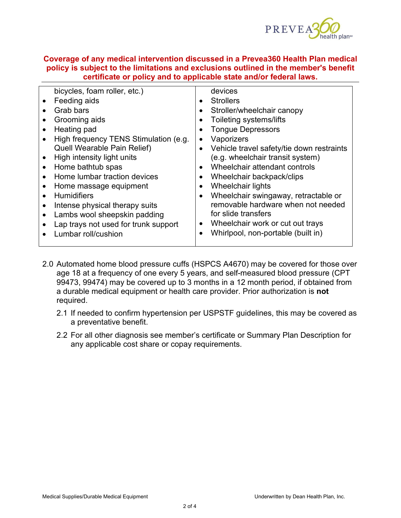

| $\bullet$<br>Grooming aids<br>Toileting systems/lifts<br>$\bullet$<br><b>Tongue Depressors</b><br>Heating pad<br>High frequency TENS Stimulation (e.g.<br>Vaporizers<br>$\bullet$<br><b>Quell Wearable Pain Relief)</b><br>Vehicle travel safety/tie down restraints<br>$\bullet$<br>(e.g. wheelchair transit system)<br>High intensity light units<br>Wheelchair attendant controls<br>Home bathtub spas<br>$\bullet$<br>$\bullet$<br>Home lumbar traction devices<br>Wheelchair backpack/clips<br>٠<br>Wheelchair lights<br>Home massage equipment<br>$\bullet$<br><b>Humidifiers</b><br>Wheelchair swingaway, retractable or<br>$\bullet$<br>removable hardware when not needed<br>Intense physical therapy suits<br>for slide transfers<br>Lambs wool sheepskin padding<br>Wheelchair work or cut out trays<br>Lap trays not used for trunk support<br>$\bullet$<br>Whirlpool, non-portable (built in)<br>Lumbar roll/cushion | bicycles, foam roller, etc.)<br>Feeding aids | devices<br><b>Strollers</b><br>$\bullet$ |
|-----------------------------------------------------------------------------------------------------------------------------------------------------------------------------------------------------------------------------------------------------------------------------------------------------------------------------------------------------------------------------------------------------------------------------------------------------------------------------------------------------------------------------------------------------------------------------------------------------------------------------------------------------------------------------------------------------------------------------------------------------------------------------------------------------------------------------------------------------------------------------------------------------------------------------------|----------------------------------------------|------------------------------------------|
|                                                                                                                                                                                                                                                                                                                                                                                                                                                                                                                                                                                                                                                                                                                                                                                                                                                                                                                                   | Grab bars                                    | Stroller/wheelchair canopy               |

- 2.0 Automated home blood pressure cuffs (HSPCS A4670) may be covered for those over age 18 at a frequency of one every 5 years, and self-measured blood pressure (CPT 99473, 99474) may be covered up to 3 months in a 12 month period, if obtained from a durable medical equipment or health care provider. Prior authorization is **not**  required.
	- 2.1 If needed to confirm hypertension per USPSTF guidelines, this may be covered as a preventative benefit.
	- 2.2 For all other diagnosis see member's certificate or Summary Plan Description for any applicable cost share or copay requirements.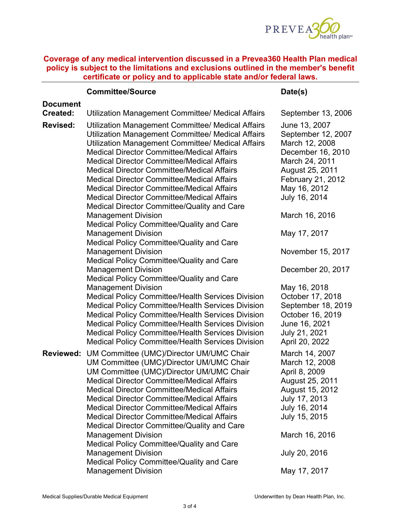

|                             | <b>Committee/Source</b>                                                                                                                                                                                                                                                                                                                                                                                                                                                                                                                                                                                                                      | Date(s)                                                                                                                                                                                       |
|-----------------------------|----------------------------------------------------------------------------------------------------------------------------------------------------------------------------------------------------------------------------------------------------------------------------------------------------------------------------------------------------------------------------------------------------------------------------------------------------------------------------------------------------------------------------------------------------------------------------------------------------------------------------------------------|-----------------------------------------------------------------------------------------------------------------------------------------------------------------------------------------------|
| <b>Document</b><br>Created: | Utilization Management Committee/ Medical Affairs                                                                                                                                                                                                                                                                                                                                                                                                                                                                                                                                                                                            | September 13, 2006                                                                                                                                                                            |
| <b>Revised:</b>             | Utilization Management Committee/ Medical Affairs<br>Utilization Management Committee/ Medical Affairs<br>Utilization Management Committee/ Medical Affairs<br><b>Medical Director Committee/Medical Affairs</b><br><b>Medical Director Committee/Medical Affairs</b><br><b>Medical Director Committee/Medical Affairs</b><br><b>Medical Director Committee/Medical Affairs</b><br><b>Medical Director Committee/Medical Affairs</b><br><b>Medical Director Committee/Medical Affairs</b><br>Medical Director Committee/Quality and Care                                                                                                     | June 13, 2007<br>September 12, 2007<br>March 12, 2008<br>December 16, 2010<br>March 24, 2011<br>August 25, 2011<br>February 21, 2012<br>May 16, 2012<br>July 16, 2014                         |
|                             | <b>Management Division</b><br><b>Medical Policy Committee/Quality and Care</b>                                                                                                                                                                                                                                                                                                                                                                                                                                                                                                                                                               | March 16, 2016                                                                                                                                                                                |
|                             | <b>Management Division</b><br>Medical Policy Committee/Quality and Care                                                                                                                                                                                                                                                                                                                                                                                                                                                                                                                                                                      | May 17, 2017                                                                                                                                                                                  |
|                             | <b>Management Division</b><br>Medical Policy Committee/Quality and Care                                                                                                                                                                                                                                                                                                                                                                                                                                                                                                                                                                      | November 15, 2017                                                                                                                                                                             |
|                             | <b>Management Division</b><br>Medical Policy Committee/Quality and Care                                                                                                                                                                                                                                                                                                                                                                                                                                                                                                                                                                      | December 20, 2017                                                                                                                                                                             |
|                             | <b>Management Division</b><br><b>Medical Policy Committee/Health Services Division</b><br><b>Medical Policy Committee/Health Services Division</b><br><b>Medical Policy Committee/Health Services Division</b><br><b>Medical Policy Committee/Health Services Division</b><br><b>Medical Policy Committee/Health Services Division</b><br><b>Medical Policy Committee/Health Services Division</b>                                                                                                                                                                                                                                           | May 16, 2018<br>October 17, 2018<br>September 18, 2019<br>October 16, 2019<br>June 16, 2021<br>July 21, 2021<br>April 20, 2022                                                                |
| <b>Reviewed:</b>            | UM Committee (UMC)/Director UM/UMC Chair<br>UM Committee (UMC)/Director UM/UMC Chair<br>UM Committee (UMC)/Director UM/UMC Chair<br><b>Medical Director Committee/Medical Affairs</b><br><b>Medical Director Committee/Medical Affairs</b><br><b>Medical Director Committee/Medical Affairs</b><br><b>Medical Director Committee/Medical Affairs</b><br><b>Medical Director Committee/Medical Affairs</b><br>Medical Director Committee/Quality and Care<br><b>Management Division</b><br>Medical Policy Committee/Quality and Care<br><b>Management Division</b><br>Medical Policy Committee/Quality and Care<br><b>Management Division</b> | March 14, 2007<br>March 12, 2008<br>April 8, 2009<br>August 25, 2011<br>August 15, 2012<br>July 17, 2013<br>July 16, 2014<br>July 15, 2015<br>March 16, 2016<br>July 20, 2016<br>May 17, 2017 |
|                             |                                                                                                                                                                                                                                                                                                                                                                                                                                                                                                                                                                                                                                              |                                                                                                                                                                                               |